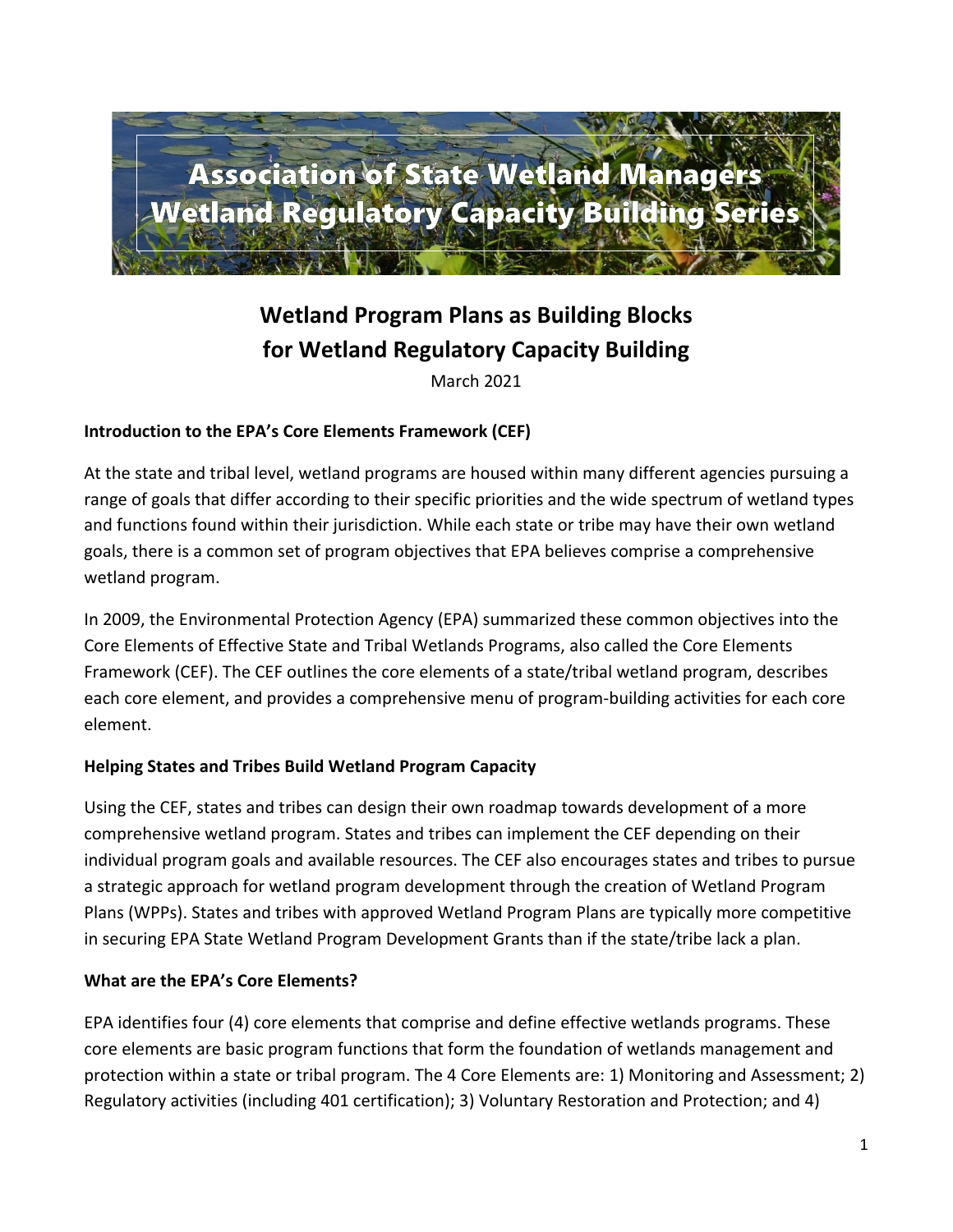

# **Wetland Program Plans as Building Blocks for Wetland Regulatory Capacity Building**

March 2021

### **Introduction to the EPA's Core Elements Framework (CEF)**

At the state and tribal level, wetland programs are housed within many different agencies pursuing a range of goals that differ according to their specific priorities and the wide spectrum of wetland types and functions found within their jurisdiction. While each state or tribe may have their own wetland goals, there is a common set of program objectives that EPA believes comprise a comprehensive wetland program.

In 2009, the Environmental Protection Agency (EPA) summarized these common objectives into the Core Elements of Effective State and Tribal Wetlands Programs, also called the Core Elements Framework (CEF). The CEF outlines the core elements of a state/tribal wetland program, describes each core element, and provides a comprehensive menu of program-building activities for each core element.

### **Helping States and Tribes Build Wetland Program Capacity**

Using the CEF, states and tribes can design their own roadmap towards development of a more comprehensive wetland program. States and tribes can implement the CEF depending on their individual program goals and available resources. The CEF also encourages states and tribes to pursue a strategic approach for wetland program development through the creation of Wetland Program Plans (WPPs). States and tribes with approved Wetland Program Plans are typically more competitive in securing EPA State Wetland Program Development Grants than if the state/tribe lack a plan.

### **What are the EPA's Core Elements?**

EPA identifies four (4) core elements that comprise and define effective wetlands programs. These core elements are basic program functions that form the foundation of wetlands management and protection within a state or tribal program. The 4 Core Elements are: 1) Monitoring and Assessment; 2) Regulatory activities (including 401 certification); 3) Voluntary Restoration and Protection; and 4)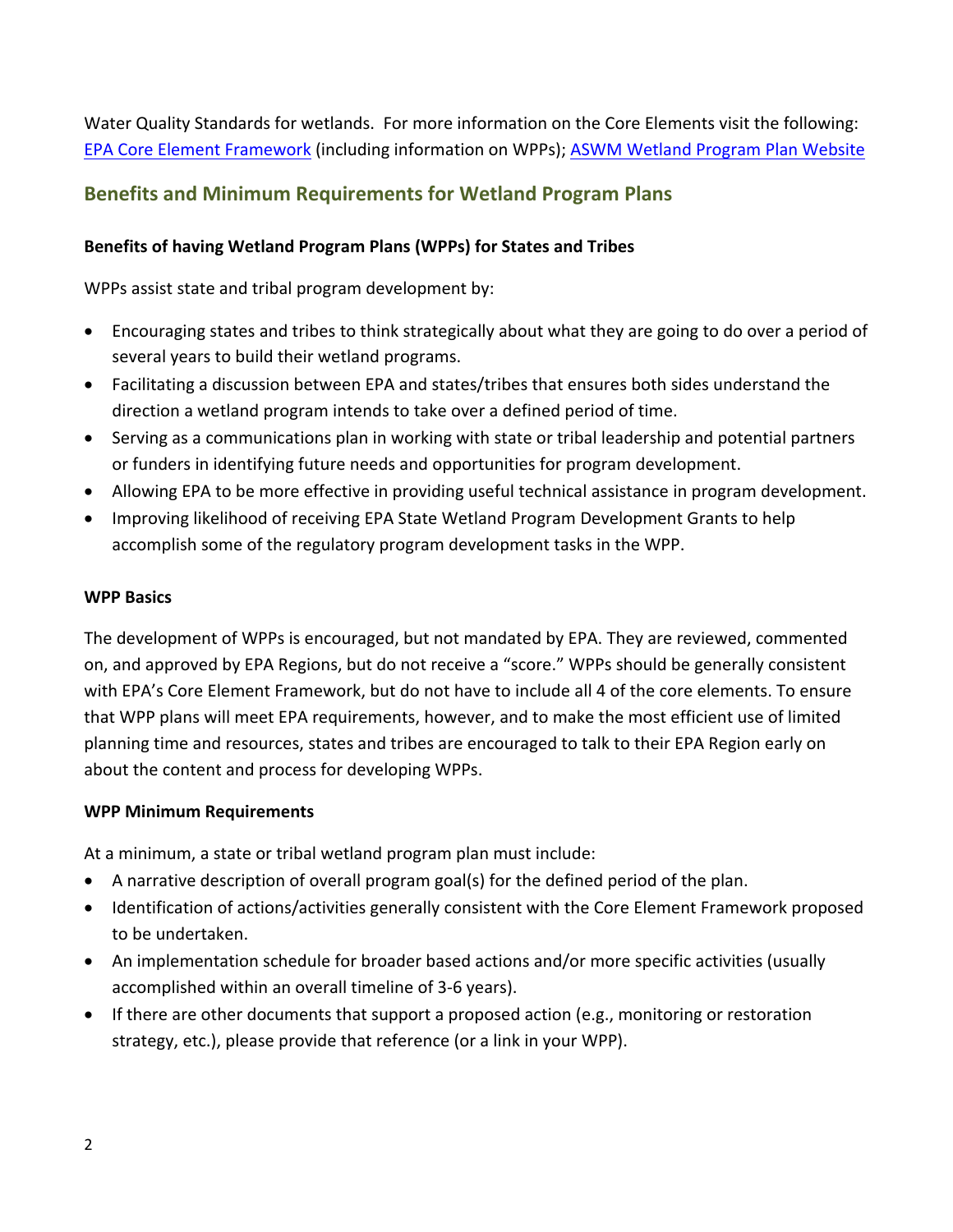Water Quality Standards for wetlands. For more information on the Core Elements visit the following: [EPA Core Element Framework](http://water.epa.gov/grants_funding/wetlands/cefintro.cfm) (including information on WPPs); [ASWM Wetland Program Plan Website](https://www.aswm.org/wetland-programs/wetland-program-plans)

### **Benefits and Minimum Requirements for Wetland Program Plans**

### **Benefits of having Wetland Program Plans (WPPs) for States and Tribes**

WPPs assist state and tribal program development by:

- Encouraging states and tribes to think strategically about what they are going to do over a period of several years to build their wetland programs.
- Facilitating a discussion between EPA and states/tribes that ensures both sides understand the direction a wetland program intends to take over a defined period of time.
- Serving as a communications plan in working with state or tribal leadership and potential partners or funders in identifying future needs and opportunities for program development.
- Allowing EPA to be more effective in providing useful technical assistance in program development.
- Improving likelihood of receiving EPA State Wetland Program Development Grants to help accomplish some of the regulatory program development tasks in the WPP.

#### **WPP Basics**

The development of WPPs is encouraged, but not mandated by EPA. They are reviewed, commented on, and approved by EPA Regions, but do not receive a "score." WPPs should be generally consistent with EPA's Core Element Framework, but do not have to include all 4 of the core elements. To ensure that WPP plans will meet EPA requirements, however, and to make the most efficient use of limited planning time and resources, states and tribes are encouraged to talk to their EPA Region early on about the content and process for developing WPPs.

### **WPP Minimum Requirements**

At a minimum, a state or tribal wetland program plan must include:

- A narrative description of overall program goal(s) for the defined period of the plan.
- Identification of actions/activities generally consistent with the Core Element Framework proposed to be undertaken.
- An implementation schedule for broader based actions and/or more specific activities (usually accomplished within an overall timeline of 3-6 years).
- If there are other documents that support a proposed action (e.g., monitoring or restoration strategy, etc.), please provide that reference (or a link in your WPP).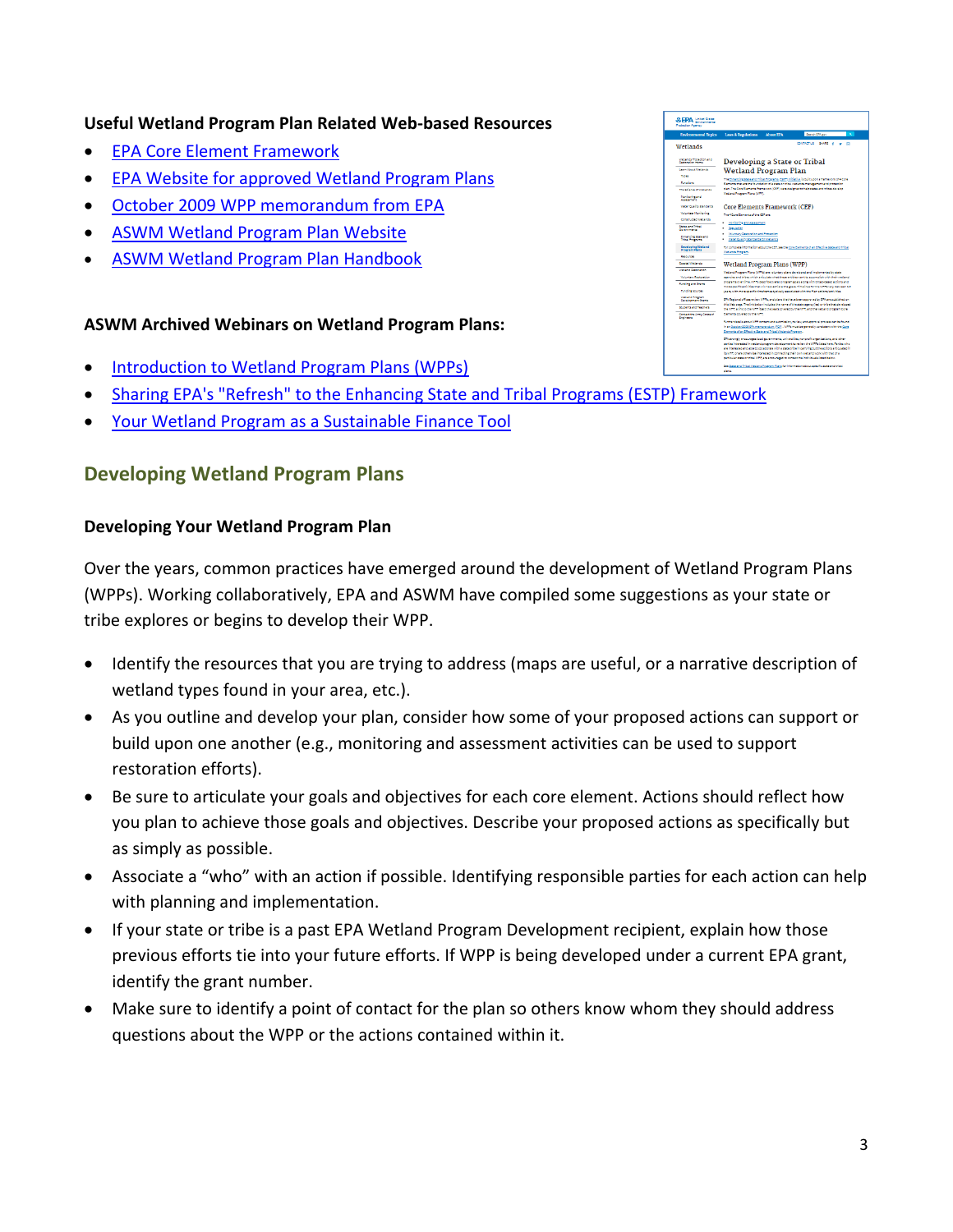### **Useful Wetland Program Plan Related Web-based Resources**

- [EPA Core Element Framework](http://water.epa.gov/grants_funding/wetlands/cefintro.cfm)
- [EPA Website for approved Wetland Program Plans](http://water.epa.gov/type/wetlands/wwp.cfm)
- [October 2009 WPP memorandum from](http://water.epa.gov/type/wetlands/upload/wetland_program_plan_memorandum.pdf) EPA
- [ASWM Wetland Program Plan Website](https://www.aswm.org/wetland-programs/wetland-program-plans)
- [ASWM Wetland Program Plan Handbook](https://www.aswm.org/pdf_lib/wetland_program_plans_handbook.pdf)

### **ASWM Archived Webinars on Wetland Program Plans:**

- [Introduction to Wetland Program Plans \(WPPs\)](https://www.aswm.org/aswm/aswm-webinarscalls/9722-past-2020-capacity-building-webinar#wetlandprograms)
- [Sharing EPA's "Refresh" to the Enhancing State and Tribal Programs \(ESTP\) Framework](https://www.aswm.org/aswm/aswm-webinarscalls/9722-past-2020-capacity-building-webinar#refresh032420)
- [Your Wetland Program as a Sustainable Finance Tool](https://www.aswm.org/pdf_lib/wpp/barnes_wpp_as_sustainable_finance_tool.pdf)

### **Developing Wetland Program Plans**

### **Developing Your Wetland Program Plan**

Over the years, common practices have emerged around the development of Wetland Program Plans (WPPs). Working collaboratively, EPA and ASWM have compiled some suggestions as your state or tribe explores or begins to develop their WPP.

- Identify the resources that you are trying to address (maps are useful, or a narrative description of wetland types found in your area, etc.).
- As you outline and develop your plan, consider how some of your proposed actions can support or build upon one another (e.g., monitoring and assessment activities can be used to support restoration efforts).
- Be sure to articulate your goals and objectives for each core element. Actions should reflect how you plan to achieve those goals and objectives. Describe your proposed actions as specifically but as simply as possible.
- Associate a "who" with an action if possible. Identifying responsible parties for each action can help with planning and implementation.
- If your state or tribe is a past EPA Wetland Program Development recipient, explain how those previous efforts tie into your future efforts. If WPP is being developed under a current EPA grant, identify the grant number.
- Make sure to identify a point of contact for the plan so others know whom they should address questions about the WPP or the actions contained within it.

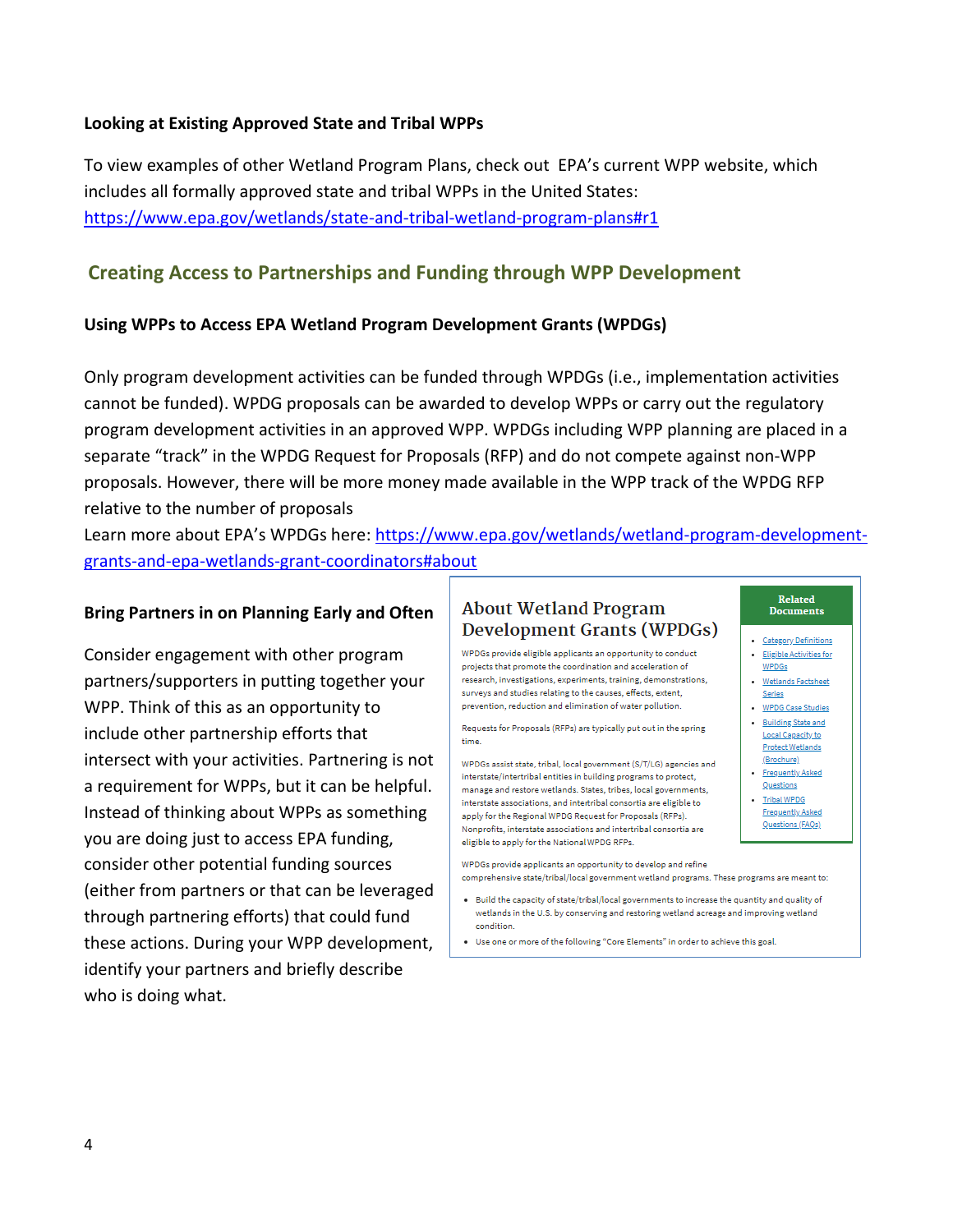### **Looking at Existing Approved State and Tribal WPPs**

To view examples of other Wetland Program Plans, check out EPA's current WPP website, which includes all formally approved state and tribal WPPs in the United States: <https://www.epa.gov/wetlands/state-and-tribal-wetland-program-plans#r1>

### **Creating Access to Partnerships and Funding through WPP Development**

### **Using WPPs to Access EPA Wetland Program Development Grants (WPDGs)**

Only program development activities can be funded through WPDGs (i.e., implementation activities cannot be funded). WPDG proposals can be awarded to develop WPPs or carry out the regulatory program development activities in an approved WPP. WPDGs including WPP planning are placed in a separate "track" in the WPDG Request for Proposals (RFP) and do not compete against non-WPP proposals. However, there will be more money made available in the WPP track of the WPDG RFP relative to the number of proposals

Learn more about EPA's WPDGs here: [https://www.epa.gov/wetlands/wetland-program-development](https://www.epa.gov/wetlands/wetland-program-development-grants-and-epa-wetlands-grant-coordinators#about)[grants-and-epa-wetlands-grant-coordinators#about](https://www.epa.gov/wetlands/wetland-program-development-grants-and-epa-wetlands-grant-coordinators#about)

#### **Bring Partners in on Planning Early and Often**

Consider engagement with other program partners/supporters in putting together your WPP. Think of this as an opportunity to include other partnership efforts that intersect with your activities. Partnering is not a requirement for WPPs, but it can be helpful. Instead of thinking about WPPs as something you are doing just to access EPA funding, consider other potential funding sources (either from partners or that can be leveraged through partnering efforts) that could fund these actions. During your WPP development, identify your partners and briefly describe who is doing what.

### **About Wetland Program** Development Grants (WPDGs)

WPDGs provide eligible applicants an opportunity to conduct projects that promote the coordination and acceleration of research, investigations, experiments, training, demonstrations, surveys and studies relating to the causes, effects, extent. prevention, reduction and elimination of water pollution.

Requests for Proposals (RFPs) are typically put out in the spring time.

WPDGs assist state, tribal, local government (S/T/LG) agencies and interstate/intertribal entities in building programs to protect. manage and restore wetlands. States, tribes, local governments, interstate associations, and intertribal consortia are eligible to apply for the Regional WPDG Request for Proposals (RFPs). Nonprofits, interstate associations and intertribal consortia are eligible to apply for the National WPDG RFPs.

WPDGs provide applicants an opportunity to develop and refine comprehensive state/tribal/local government wetland programs. These programs are meant to:

- . Build the capacity of state/tribal/local governments to increase the quantity and quality of wetlands in the U.S. by conserving and restoring wetland acreage and improving wetland condition.
- . Use one or more of the following "Core Elements" in order to achieve this goal.
- · Category Definitions · Eligible Activities for **WPDGs**
- · Wetlands Factsheet
- Series WPDG Case Studies
- . Building State and Local Capacity to **Protect Wetlands** (Brochure)
- · <u>Frequently Asked</u>
- Questions - Tribal WPDG
- Frequently Asked Questions (FAQs)